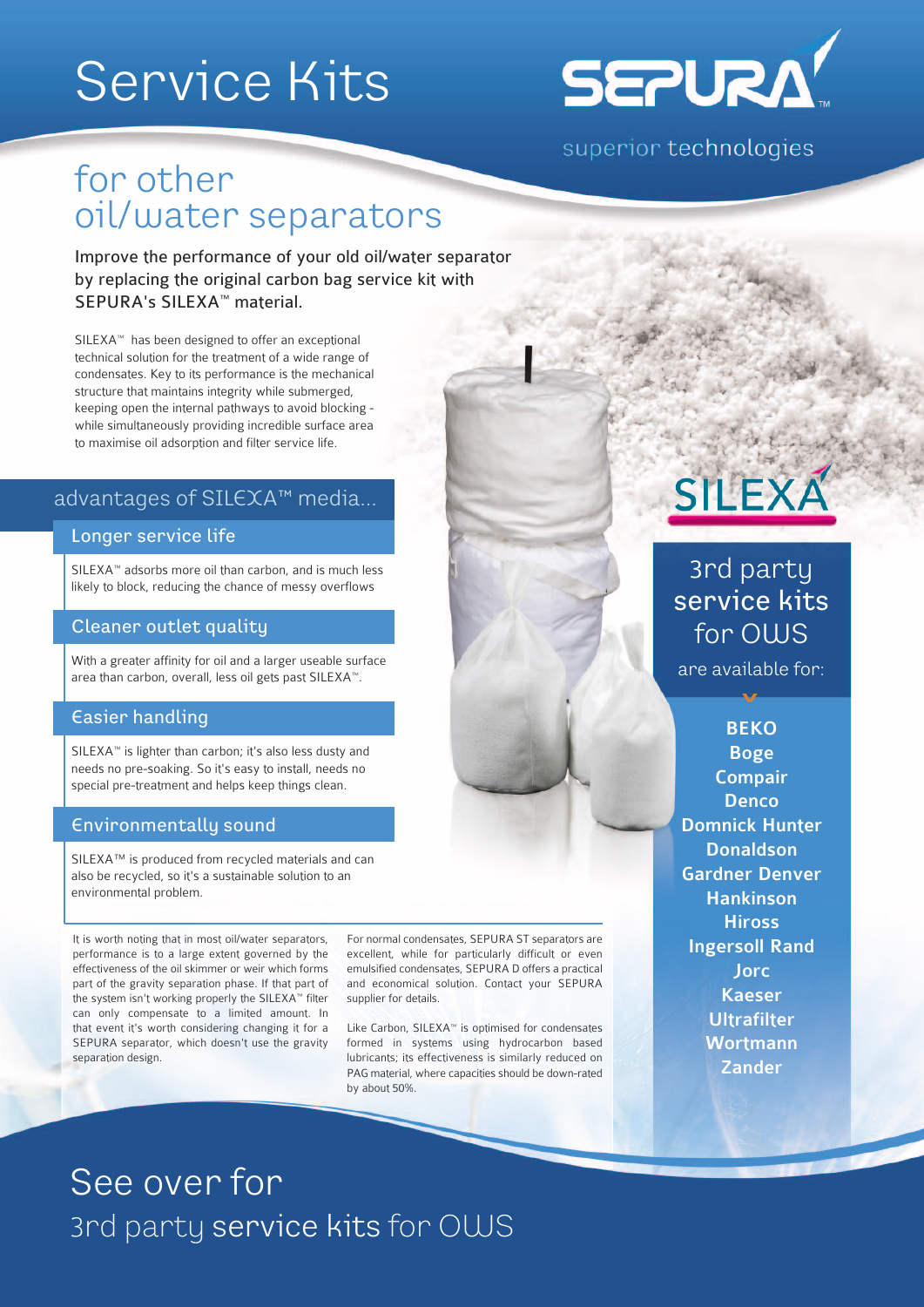# Service Kits



superior technologies

### for other oil/water separators

Improve the performance of your old oil/water separator by replacing the original carbon bag service kit with SEPURA's SILEXA™ material.

SILEXA™ has been designed to offer an exceptional technical solution for the treatment of a wide range of condensates. Key to its performance is the mechanical structure that maintains integrity while submerged, keeping open the internal pathways to avoid blocking while simultaneously providing incredible surface area to maximise oil adsorption and filter service life.

#### advantages of SILEXA™ media...

#### Longer service life

SILEXA™ adsorbs more oil than carbon, and is much less likely to block, reducing the chance of messy overflows

#### Cleaner outlet quality

With a greater affinity for oil and a larger useable surface area than carbon, overall, less oil gets past SILEXA™.

#### Easier handling

SILEXA™ is lighter than carbon; it's also less dusty and needs no pre-soaking. So it's easy to install, needs no special pre-treatment and helps keep things clean.

#### Environmentally sound

SILEXA™ is produced from recycled materials and can also be recycled, so it's a sustainable solution to an environmental problem.

It is worth noting that in most oil/water separators, performance is to a large extent governed by the effectiveness of the oil skimmer or weir which forms part of the gravity separation phase. If that part of the system isn't working properly the SILEXA™ filter can only compensate to a limited amount. In that event it's worth considering changing it for a SEPURA separator, which doesn't use the gravity separation design.

For normal condensates, SEPURA ST separators are excellent, while for particularly difficult or even emulsified condensates, SEPURA D offers a practical and economical solution. Contact your SEPURA supplier for details.

Like Carbon, SILEXA™ is optimised for condensates formed in systems using hydrocarbon based lubricants; its effectiveness is similarly reduced on PAG material, where capacities should be down-rated by about 50%.



### 3rd party service kits for OWS

are available for:  $\boldsymbol{\mathcal{N}}$ 

BEKO Boge Compair **Denco** Domnick Hunter **Donaldson** Gardner Denver Hankinson **Hiross** Ingersoll Rand **Jorc** Kaeser **Ultrafilter Wortmann Zander** 

## See over for 3rd party service kits for OWS